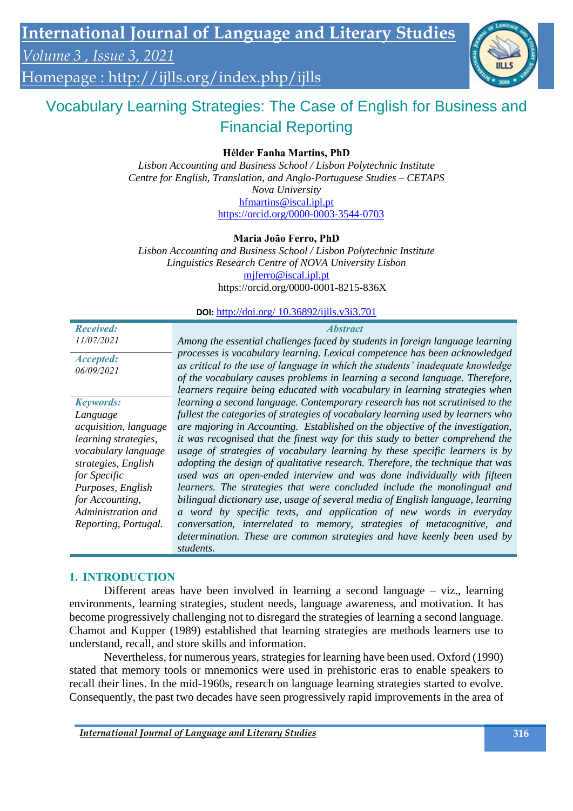*Volume 3 , Issue 3, 2021*

Homepage :<http://ijlls.org/index.php/ijlls>

# Vocabulary Learning Strategies: The Case of English for Business and Financial Reporting

**Hélder Fanha Martins, PhD**

*Lisbon Accounting and Business School / Lisbon Polytechnic Institute Centre for English, Translation, and Anglo-Portuguese Studies – CETAPS Nova University* [hfmartins@iscal.ipl.pt](mailto:hfmartins@iscal.ipl.pt) <https://orcid.org/0000-0003-3544-0703>

#### **Maria João Ferro, PhD**

*Lisbon Accounting and Business School / Lisbon Polytechnic Institute Linguistics Research Centre of NOVA University Lisbon* mjferro@iscal.ipl.pt https://orcid.org/0000-0001-8215-836X

#### **DOI:** http://doi.org/ 10.36892/ijlls.v3i3.701

| <b>DOI:</b> http://doi.org/ $10.36892/i$ ; ills.v3i3.701 |                                                                                                                                                                                                                                                                                                                            |
|----------------------------------------------------------|----------------------------------------------------------------------------------------------------------------------------------------------------------------------------------------------------------------------------------------------------------------------------------------------------------------------------|
| <b>Received:</b><br>11/07/2021                           | <b>Abstract</b><br>Among the essential challenges faced by students in foreign language learning                                                                                                                                                                                                                           |
| <i><b>Accepted:</b></i><br>06/09/2021                    | processes is vocabulary learning. Lexical competence has been acknowledged<br>as critical to the use of language in which the students' inadequate knowledge<br>of the vocabulary causes problems in learning a second language. Therefore,<br>learners require being educated with vocabulary in learning strategies when |
| <b>Keywords:</b>                                         | learning a second language. Contemporary research has not scrutinised to the                                                                                                                                                                                                                                               |
| Language                                                 | fullest the categories of strategies of vocabulary learning used by learners who                                                                                                                                                                                                                                           |
| acquisition, language                                    | are majoring in Accounting. Established on the objective of the investigation,                                                                                                                                                                                                                                             |
| learning strategies,                                     | it was recognised that the finest way for this study to better comprehend the                                                                                                                                                                                                                                              |
| vocabulary language                                      | usage of strategies of vocabulary learning by these specific learners is by                                                                                                                                                                                                                                                |
| strategies, English                                      | adopting the design of qualitative research. Therefore, the technique that was                                                                                                                                                                                                                                             |
| for Specific                                             | used was an open-ended interview and was done individually with fifteen                                                                                                                                                                                                                                                    |
| Purposes, English                                        | learners. The strategies that were concluded include the monolingual and                                                                                                                                                                                                                                                   |
| for Accounting,                                          | bilingual dictionary use, usage of several media of English language, learning                                                                                                                                                                                                                                             |
| Administration and                                       | a word by specific texts, and application of new words in everyday                                                                                                                                                                                                                                                         |
| Reporting, Portugal.                                     | conversation, interrelated to memory, strategies of metacognitive, and                                                                                                                                                                                                                                                     |
|                                                          | determination. These are common strategies and have keenly been used by                                                                                                                                                                                                                                                    |

#### **1. INTRODUCTION**

Different areas have been involved in learning a second language – viz., learning environments, learning strategies, student needs, language awareness, and motivation. It has become progressively challenging not to disregard the strategies of learning a second language. Chamot and Kupper (1989) established that learning strategies are methods learners use to understand, recall, and store skills and information.

Nevertheless, for numerous years, strategies for learning have been used. Oxford (1990) stated that memory tools or mnemonics were used in prehistoric eras to enable speakers to recall their lines. In the mid-1960s, research on language learning strategies started to evolve. Consequently, the past two decades have seen progressively rapid improvements in the area of

*students.*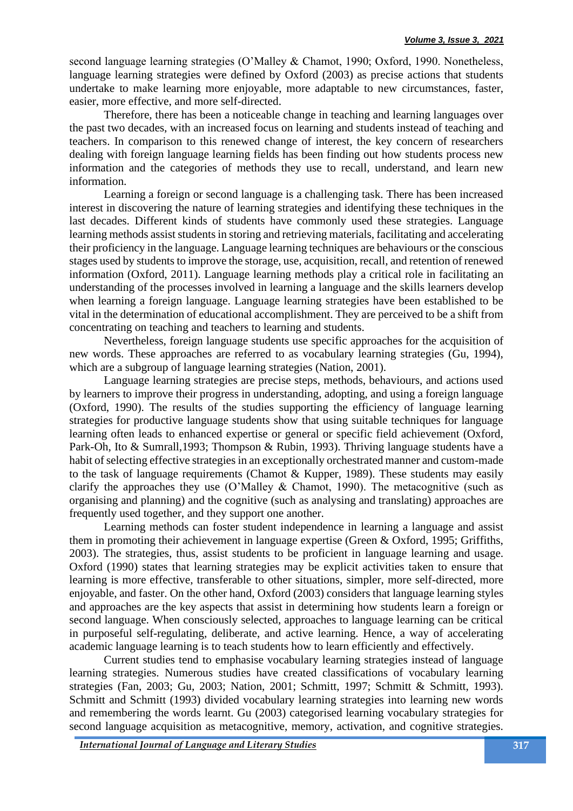second language learning strategies (O'Malley & Chamot, 1990; Oxford, 1990. Nonetheless, language learning strategies were defined by Oxford (2003) as precise actions that students undertake to make learning more enjoyable, more adaptable to new circumstances, faster, easier, more effective, and more self-directed.

Therefore, there has been a noticeable change in teaching and learning languages over the past two decades, with an increased focus on learning and students instead of teaching and teachers. In comparison to this renewed change of interest, the key concern of researchers dealing with foreign language learning fields has been finding out how students process new information and the categories of methods they use to recall, understand, and learn new information.

Learning a foreign or second language is a challenging task. There has been increased interest in discovering the nature of learning strategies and identifying these techniques in the last decades. Different kinds of students have commonly used these strategies. Language learning methods assist students in storing and retrieving materials, facilitating and accelerating their proficiency in the language. Language learning techniques are behaviours or the conscious stages used by students to improve the storage, use, acquisition, recall, and retention of renewed information (Oxford, 2011). Language learning methods play a critical role in facilitating an understanding of the processes involved in learning a language and the skills learners develop when learning a foreign language. Language learning strategies have been established to be vital in the determination of educational accomplishment. They are perceived to be a shift from concentrating on teaching and teachers to learning and students.

Nevertheless, foreign language students use specific approaches for the acquisition of new words. These approaches are referred to as vocabulary learning strategies (Gu, 1994), which are a subgroup of language learning strategies (Nation, 2001).

Language learning strategies are precise steps, methods, behaviours, and actions used by learners to improve their progress in understanding, adopting, and using a foreign language (Oxford, 1990). The results of the studies supporting the efficiency of language learning strategies for productive language students show that using suitable techniques for language learning often leads to enhanced expertise or general or specific field achievement (Oxford, Park-Oh, Ito & Sumrall,1993; Thompson & Rubin, 1993). Thriving language students have a habit of selecting effective strategies in an exceptionally orchestrated manner and custom-made to the task of language requirements (Chamot & Kupper, 1989). These students may easily clarify the approaches they use (O'Malley & Chamot, 1990). The metacognitive (such as organising and planning) and the cognitive (such as analysing and translating) approaches are frequently used together, and they support one another.

Learning methods can foster student independence in learning a language and assist them in promoting their achievement in language expertise (Green & Oxford, 1995; Griffiths, 2003). The strategies, thus, assist students to be proficient in language learning and usage. Oxford (1990) states that learning strategies may be explicit activities taken to ensure that learning is more effective, transferable to other situations, simpler, more self-directed, more enjoyable, and faster. On the other hand, Oxford (2003) considers that language learning styles and approaches are the key aspects that assist in determining how students learn a foreign or second language. When consciously selected, approaches to language learning can be critical in purposeful self-regulating, deliberate, and active learning. Hence, a way of accelerating academic language learning is to teach students how to learn efficiently and effectively.

Current studies tend to emphasise vocabulary learning strategies instead of language learning strategies. Numerous studies have created classifications of vocabulary learning strategies (Fan, 2003; Gu, 2003; Nation, 2001; Schmitt, 1997; Schmitt & Schmitt, 1993). Schmitt and Schmitt (1993) divided vocabulary learning strategies into learning new words and remembering the words learnt. Gu (2003) categorised learning vocabulary strategies for second language acquisition as metacognitive, memory, activation, and cognitive strategies.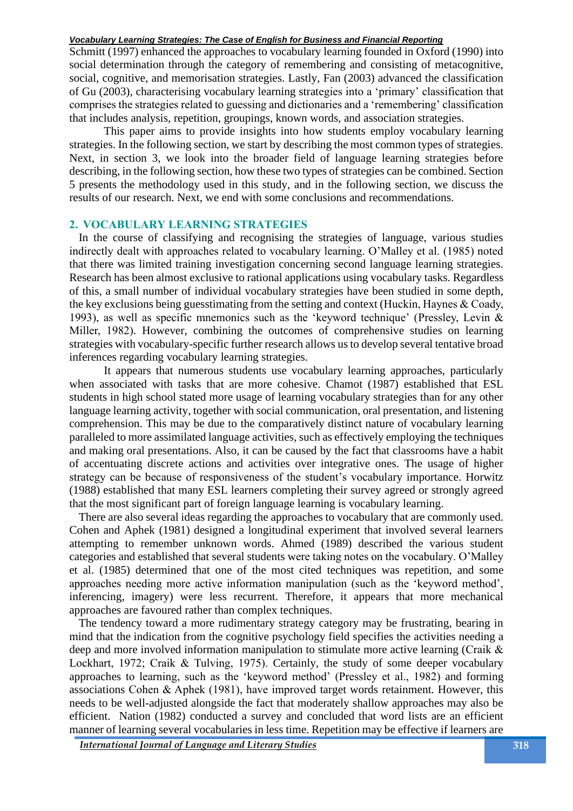Schmitt (1997) enhanced the approaches to vocabulary learning founded in Oxford (1990) into social determination through the category of remembering and consisting of metacognitive, social, cognitive, and memorisation strategies. Lastly, Fan (2003) advanced the classification of Gu (2003), characterising vocabulary learning strategies into a 'primary' classification that comprises the strategies related to guessing and dictionaries and a 'remembering' classification that includes analysis, repetition, groupings, known words, and association strategies.

This paper aims to provide insights into how students employ vocabulary learning strategies. In the following section, we start by describing the most common types of strategies. Next, in section 3, we look into the broader field of language learning strategies before describing, in the following section, how these two types of strategies can be combined. Section 5 presents the methodology used in this study, and in the following section, we discuss the results of our research. Next, we end with some conclusions and recommendations.

#### **2. VOCABULARY LEARNING STRATEGIES**

In the course of classifying and recognising the strategies of language, various studies indirectly dealt with approaches related to vocabulary learning. O'Malley et al. (1985) noted that there was limited training investigation concerning second language learning strategies. Research has been almost exclusive to rational applications using vocabulary tasks. Regardless of this, a small number of individual vocabulary strategies have been studied in some depth, the key exclusions being guesstimating from the setting and context (Huckin, Haynes & Coady, 1993), as well as specific mnemonics such as the 'keyword technique' (Pressley, Levin & Miller, 1982). However, combining the outcomes of comprehensive studies on learning strategies with vocabulary-specific further research allows us to develop several tentative broad inferences regarding vocabulary learning strategies.

It appears that numerous students use vocabulary learning approaches, particularly when associated with tasks that are more cohesive. Chamot (1987) established that ESL students in high school stated more usage of learning vocabulary strategies than for any other language learning activity, together with social communication, oral presentation, and listening comprehension. This may be due to the comparatively distinct nature of vocabulary learning paralleled to more assimilated language activities, such as effectively employing the techniques and making oral presentations. Also, it can be caused by the fact that classrooms have a habit of accentuating discrete actions and activities over integrative ones. The usage of higher strategy can be because of responsiveness of the student's vocabulary importance. Horwitz (1988) established that many ESL learners completing their survey agreed or strongly agreed that the most significant part of foreign language learning is vocabulary learning.

There are also several ideas regarding the approaches to vocabulary that are commonly used. Cohen and Aphek (1981) designed a longitudinal experiment that involved several learners attempting to remember unknown words. Ahmed (1989) described the various student categories and established that several students were taking notes on the vocabulary. O'Malley et al. (1985) determined that one of the most cited techniques was repetition, and some approaches needing more active information manipulation (such as the 'keyword method', inferencing, imagery) were less recurrent. Therefore, it appears that more mechanical approaches are favoured rather than complex techniques.

The tendency toward a more rudimentary strategy category may be frustrating, bearing in mind that the indication from the cognitive psychology field specifies the activities needing a deep and more involved information manipulation to stimulate more active learning (Craik & Lockhart, 1972; Craik & Tulving, 1975). Certainly, the study of some deeper vocabulary approaches to learning, such as the 'keyword method' (Pressley et al., 1982) and forming associations Cohen & Aphek (1981), have improved target words retainment. However, this needs to be well-adjusted alongside the fact that moderately shallow approaches may also be efficient. Nation (1982) conducted a survey and concluded that word lists are an efficient manner of learning several vocabularies in less time. Repetition may be effective if learners are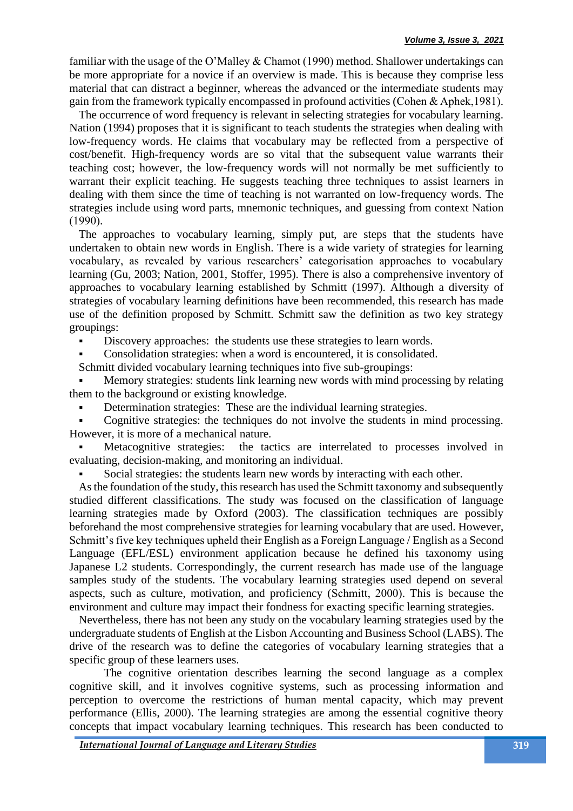familiar with the usage of the O'Malley & Chamot (1990) method. Shallower undertakings can be more appropriate for a novice if an overview is made. This is because they comprise less material that can distract a beginner, whereas the advanced or the intermediate students may gain from the framework typically encompassed in profound activities (Cohen & Aphek,1981).

The occurrence of word frequency is relevant in selecting strategies for vocabulary learning. Nation (1994) proposes that it is significant to teach students the strategies when dealing with low-frequency words. He claims that vocabulary may be reflected from a perspective of cost/benefit. High-frequency words are so vital that the subsequent value warrants their teaching cost; however, the low-frequency words will not normally be met sufficiently to warrant their explicit teaching. He suggests teaching three techniques to assist learners in dealing with them since the time of teaching is not warranted on low-frequency words. The strategies include using word parts, mnemonic techniques, and guessing from context Nation (1990).

The approaches to vocabulary learning, simply put, are steps that the students have undertaken to obtain new words in English. There is a wide variety of strategies for learning vocabulary, as revealed by various researchers' categorisation approaches to vocabulary learning (Gu, 2003; Nation, 2001, Stoffer, 1995). There is also a comprehensive inventory of approaches to vocabulary learning established by Schmitt (1997). Although a diversity of strategies of vocabulary learning definitions have been recommended, this research has made use of the definition proposed by Schmitt. Schmitt saw the definition as two key strategy groupings:

Discovery approaches: the students use these strategies to learn words.

Consolidation strategies: when a word is encountered, it is consolidated.

Schmitt divided vocabulary learning techniques into five sub-groupings:

Memory strategies: students link learning new words with mind processing by relating them to the background or existing knowledge.

Determination strategies: These are the individual learning strategies.

Cognitive strategies: the techniques do not involve the students in mind processing. However, it is more of a mechanical nature.

Metacognitive strategies: the tactics are interrelated to processes involved in evaluating, decision-making, and monitoring an individual.

Social strategies: the students learn new words by interacting with each other.

As the foundation of the study, this research has used the Schmitt taxonomy and subsequently studied different classifications. The study was focused on the classification of language learning strategies made by Oxford (2003). The classification techniques are possibly beforehand the most comprehensive strategies for learning vocabulary that are used. However, Schmitt's five key techniques upheld their English as a Foreign Language / English as a Second Language (EFL/ESL) environment application because he defined his taxonomy using Japanese L2 students. Correspondingly, the current research has made use of the language samples study of the students. The vocabulary learning strategies used depend on several aspects, such as culture, motivation, and proficiency (Schmitt, 2000). This is because the environment and culture may impact their fondness for exacting specific learning strategies.

Nevertheless, there has not been any study on the vocabulary learning strategies used by the undergraduate students of English at the Lisbon Accounting and Business School (LABS). The drive of the research was to define the categories of vocabulary learning strategies that a specific group of these learners uses.

The cognitive orientation describes learning the second language as a complex cognitive skill, and it involves cognitive systems, such as processing information and perception to overcome the restrictions of human mental capacity, which may prevent performance (Ellis, 2000). The learning strategies are among the essential cognitive theory concepts that impact vocabulary learning techniques. This research has been conducted to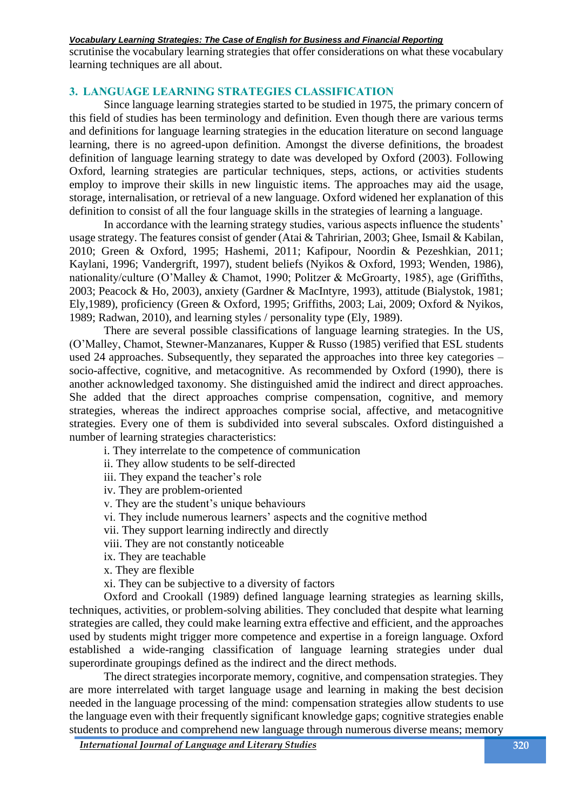scrutinise the vocabulary learning strategies that offer considerations on what these vocabulary learning techniques are all about.

# **3. LANGUAGE LEARNING STRATEGIES CLASSIFICATION**

Since language learning strategies started to be studied in 1975, the primary concern of this field of studies has been terminology and definition. Even though there are various terms and definitions for language learning strategies in the education literature on second language learning, there is no agreed-upon definition. Amongst the diverse definitions, the broadest definition of language learning strategy to date was developed by Oxford (2003). Following Oxford, learning strategies are particular techniques, steps, actions, or activities students employ to improve their skills in new linguistic items. The approaches may aid the usage, storage, internalisation, or retrieval of a new language. Oxford widened her explanation of this definition to consist of all the four language skills in the strategies of learning a language.

In accordance with the learning strategy studies, various aspects influence the students' usage strategy. The features consist of gender (Atai & Tahririan, 2003; Ghee, Ismail & Kabilan, 2010; Green & Oxford, 1995; Hashemi, 2011; Kafipour, Noordin & Pezeshkian, 2011; Kaylani, 1996; Vandergrift, 1997), student beliefs (Nyikos & Oxford, 1993; Wenden, 1986), nationality/culture (O'Malley & Chamot, 1990; Politzer & McGroarty, 1985), age (Griffiths, 2003; Peacock & Ho, 2003), anxiety (Gardner & MacIntyre, 1993), attitude (Bialystok, 1981; Ely,1989), proficiency (Green & Oxford, 1995; Griffiths, 2003; Lai, 2009; Oxford & Nyikos, 1989; Radwan, 2010), and learning styles / personality type (Ely, 1989).

There are several possible classifications of language learning strategies. In the US, (O'Malley, Chamot, Stewner-Manzanares, Kupper & Russo (1985) verified that ESL students used 24 approaches. Subsequently, they separated the approaches into three key categories – socio-affective, cognitive, and metacognitive. As recommended by Oxford (1990), there is another acknowledged taxonomy. She distinguished amid the indirect and direct approaches. She added that the direct approaches comprise compensation, cognitive, and memory strategies, whereas the indirect approaches comprise social, affective, and metacognitive strategies. Every one of them is subdivided into several subscales. Oxford distinguished a number of learning strategies characteristics:

i. They interrelate to the competence of communication

ii. They allow students to be self-directed

iii. They expand the teacher's role

iv. They are problem-oriented

v. They are the student's unique behaviours

vi. They include numerous learners' aspects and the cognitive method

vii. They support learning indirectly and directly

viii. They are not constantly noticeable

ix. They are teachable

x. They are flexible

xi. They can be subjective to a diversity of factors

Oxford and Crookall (1989) defined language learning strategies as learning skills, techniques, activities, or problem-solving abilities. They concluded that despite what learning strategies are called, they could make learning extra effective and efficient, and the approaches used by students might trigger more competence and expertise in a foreign language. Oxford established a wide-ranging classification of language learning strategies under dual superordinate groupings defined as the indirect and the direct methods.

The direct strategies incorporate memory, cognitive, and compensation strategies. They are more interrelated with target language usage and learning in making the best decision needed in the language processing of the mind: compensation strategies allow students to use the language even with their frequently significant knowledge gaps; cognitive strategies enable students to produce and comprehend new language through numerous diverse means; memory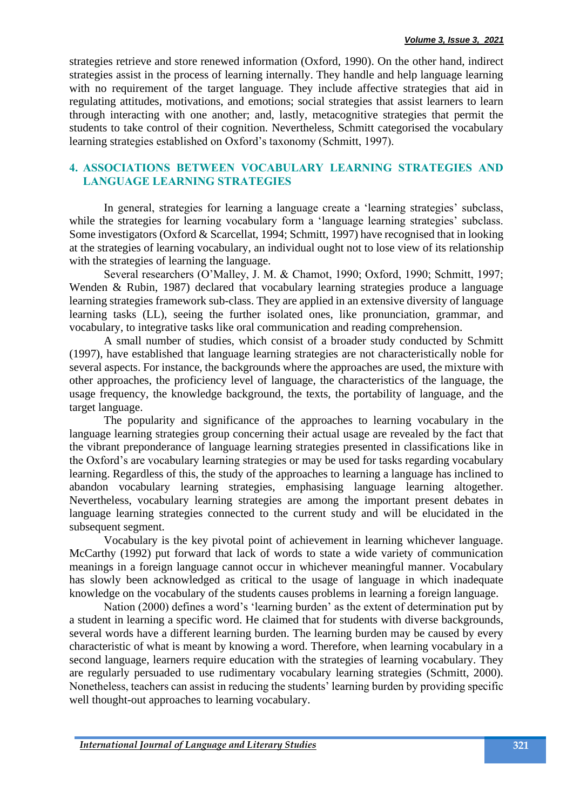strategies retrieve and store renewed information (Oxford, 1990). On the other hand, indirect strategies assist in the process of learning internally. They handle and help language learning with no requirement of the target language. They include affective strategies that aid in regulating attitudes, motivations, and emotions; social strategies that assist learners to learn through interacting with one another; and, lastly, metacognitive strategies that permit the students to take control of their cognition. Nevertheless, Schmitt categorised the vocabulary learning strategies established on Oxford's taxonomy (Schmitt, 1997).

# **4. ASSOCIATIONS BETWEEN VOCABULARY LEARNING STRATEGIES AND LANGUAGE LEARNING STRATEGIES**

In general, strategies for learning a language create a 'learning strategies' subclass, while the strategies for learning vocabulary form a 'language learning strategies' subclass. Some investigators (Oxford & Scarcellat, 1994; Schmitt, 1997) have recognised that in looking at the strategies of learning vocabulary, an individual ought not to lose view of its relationship with the strategies of learning the language.

Several researchers (O'Malley, J. M. & Chamot, 1990; Oxford, 1990; Schmitt, 1997; Wenden & Rubin, 1987) declared that vocabulary learning strategies produce a language learning strategies framework sub-class. They are applied in an extensive diversity of language learning tasks (LL), seeing the further isolated ones, like pronunciation, grammar, and vocabulary, to integrative tasks like oral communication and reading comprehension.

A small number of studies, which consist of a broader study conducted by Schmitt (1997), have established that language learning strategies are not characteristically noble for several aspects. For instance, the backgrounds where the approaches are used, the mixture with other approaches, the proficiency level of language, the characteristics of the language, the usage frequency, the knowledge background, the texts, the portability of language, and the target language.

The popularity and significance of the approaches to learning vocabulary in the language learning strategies group concerning their actual usage are revealed by the fact that the vibrant preponderance of language learning strategies presented in classifications like in the Oxford's are vocabulary learning strategies or may be used for tasks regarding vocabulary learning. Regardless of this, the study of the approaches to learning a language has inclined to abandon vocabulary learning strategies, emphasising language learning altogether. Nevertheless, vocabulary learning strategies are among the important present debates in language learning strategies connected to the current study and will be elucidated in the subsequent segment.

Vocabulary is the key pivotal point of achievement in learning whichever language. McCarthy (1992) put forward that lack of words to state a wide variety of communication meanings in a foreign language cannot occur in whichever meaningful manner. Vocabulary has slowly been acknowledged as critical to the usage of language in which inadequate knowledge on the vocabulary of the students causes problems in learning a foreign language.

Nation (2000) defines a word's 'learning burden' as the extent of determination put by a student in learning a specific word. He claimed that for students with diverse backgrounds, several words have a different learning burden. The learning burden may be caused by every characteristic of what is meant by knowing a word. Therefore, when learning vocabulary in a second language, learners require education with the strategies of learning vocabulary. They are regularly persuaded to use rudimentary vocabulary learning strategies (Schmitt, 2000). Nonetheless, teachers can assist in reducing the students' learning burden by providing specific well thought-out approaches to learning vocabulary.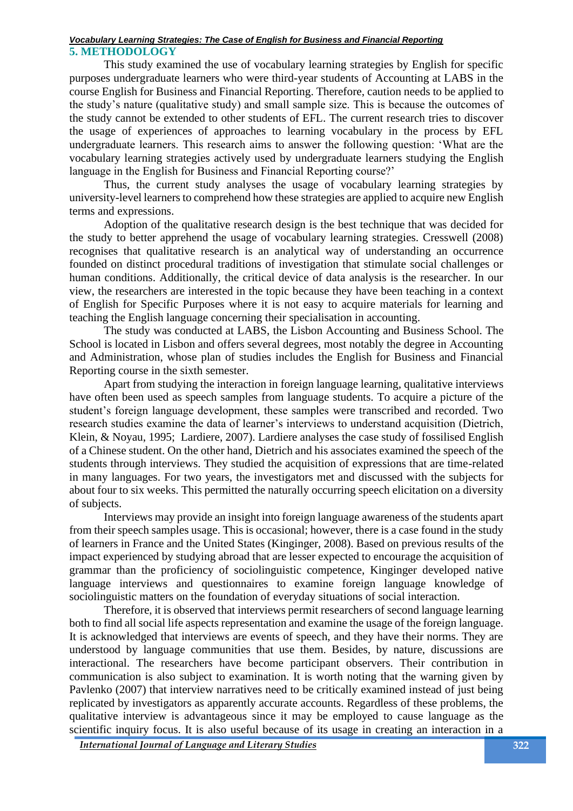This study examined the use of vocabulary learning strategies by English for specific purposes undergraduate learners who were third-year students of Accounting at LABS in the course English for Business and Financial Reporting. Therefore, caution needs to be applied to the study's nature (qualitative study) and small sample size. This is because the outcomes of the study cannot be extended to other students of EFL. The current research tries to discover the usage of experiences of approaches to learning vocabulary in the process by EFL undergraduate learners. This research aims to answer the following question: 'What are the vocabulary learning strategies actively used by undergraduate learners studying the English language in the English for Business and Financial Reporting course?'

Thus, the current study analyses the usage of vocabulary learning strategies by university-level learners to comprehend how these strategies are applied to acquire new English terms and expressions.

Adoption of the qualitative research design is the best technique that was decided for the study to better apprehend the usage of vocabulary learning strategies. Cresswell (2008) recognises that qualitative research is an analytical way of understanding an occurrence founded on distinct procedural traditions of investigation that stimulate social challenges or human conditions. Additionally, the critical device of data analysis is the researcher. In our view, the researchers are interested in the topic because they have been teaching in a context of English for Specific Purposes where it is not easy to acquire materials for learning and teaching the English language concerning their specialisation in accounting.

The study was conducted at LABS, the Lisbon Accounting and Business School. The School is located in Lisbon and offers several degrees, most notably the degree in Accounting and Administration, whose plan of studies includes the English for Business and Financial Reporting course in the sixth semester.

Apart from studying the interaction in foreign language learning, qualitative interviews have often been used as speech samples from language students. To acquire a picture of the student's foreign language development, these samples were transcribed and recorded. Two research studies examine the data of learner's interviews to understand acquisition (Dietrich, Klein, & Noyau, 1995; Lardiere, 2007). Lardiere analyses the case study of fossilised English of a Chinese student. On the other hand, Dietrich and his associates examined the speech of the students through interviews. They studied the acquisition of expressions that are time-related in many languages. For two years, the investigators met and discussed with the subjects for about four to six weeks. This permitted the naturally occurring speech elicitation on a diversity of subjects.

Interviews may provide an insight into foreign language awareness of the students apart from their speech samples usage. This is occasional; however, there is a case found in the study of learners in France and the United States (Kinginger, 2008). Based on previous results of the impact experienced by studying abroad that are lesser expected to encourage the acquisition of grammar than the proficiency of sociolinguistic competence, Kinginger developed native language interviews and questionnaires to examine foreign language knowledge of sociolinguistic matters on the foundation of everyday situations of social interaction.

Therefore, it is observed that interviews permit researchers of second language learning both to find all social life aspects representation and examine the usage of the foreign language. It is acknowledged that interviews are events of speech, and they have their norms. They are understood by language communities that use them. Besides, by nature, discussions are interactional. The researchers have become participant observers. Their contribution in communication is also subject to examination. It is worth noting that the warning given by Pavlenko (2007) that interview narratives need to be critically examined instead of just being replicated by investigators as apparently accurate accounts. Regardless of these problems, the qualitative interview is advantageous since it may be employed to cause language as the scientific inquiry focus. It is also useful because of its usage in creating an interaction in a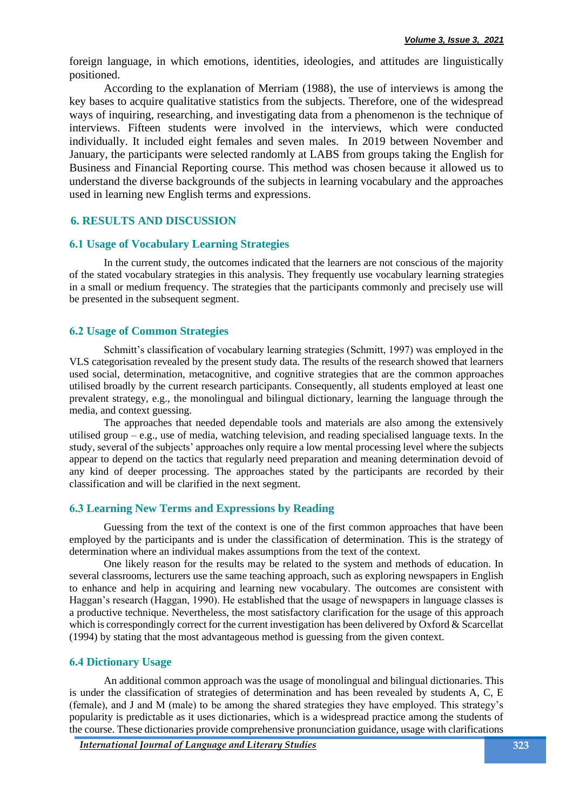foreign language, in which emotions, identities, ideologies, and attitudes are linguistically positioned.

According to the explanation of Merriam (1988), the use of interviews is among the key bases to acquire qualitative statistics from the subjects. Therefore, one of the widespread ways of inquiring, researching, and investigating data from a phenomenon is the technique of interviews. Fifteen students were involved in the interviews, which were conducted individually. It included eight females and seven males. In 2019 between November and January, the participants were selected randomly at LABS from groups taking the English for Business and Financial Reporting course. This method was chosen because it allowed us to understand the diverse backgrounds of the subjects in learning vocabulary and the approaches used in learning new English terms and expressions.

# **6. RESULTS AND DISCUSSION**

## **6.1 Usage of Vocabulary Learning Strategies**

In the current study, the outcomes indicated that the learners are not conscious of the majority of the stated vocabulary strategies in this analysis. They frequently use vocabulary learning strategies in a small or medium frequency. The strategies that the participants commonly and precisely use will be presented in the subsequent segment.

## **6.2 Usage of Common Strategies**

Schmitt's classification of vocabulary learning strategies (Schmitt, 1997) was employed in the VLS categorisation revealed by the present study data. The results of the research showed that learners used social, determination, metacognitive, and cognitive strategies that are the common approaches utilised broadly by the current research participants. Consequently, all students employed at least one prevalent strategy, e.g., the monolingual and bilingual dictionary, learning the language through the media, and context guessing.

The approaches that needed dependable tools and materials are also among the extensively utilised group – e.g., use of media, watching television, and reading specialised language texts. In the study, several of the subjects' approaches only require a low mental processing level where the subjects appear to depend on the tactics that regularly need preparation and meaning determination devoid of any kind of deeper processing. The approaches stated by the participants are recorded by their classification and will be clarified in the next segment.

## **6.3 Learning New Terms and Expressions by Reading**

Guessing from the text of the context is one of the first common approaches that have been employed by the participants and is under the classification of determination. This is the strategy of determination where an individual makes assumptions from the text of the context.

One likely reason for the results may be related to the system and methods of education. In several classrooms, lecturers use the same teaching approach, such as exploring newspapers in English to enhance and help in acquiring and learning new vocabulary. The outcomes are consistent with Haggan's research (Haggan, 1990). He established that the usage of newspapers in language classes is a productive technique. Nevertheless, the most satisfactory clarification for the usage of this approach which is correspondingly correct for the current investigation has been delivered by Oxford & Scarcellat (1994) by stating that the most advantageous method is guessing from the given context.

## **6.4 Dictionary Usage**

An additional common approach was the usage of monolingual and bilingual dictionaries. This is under the classification of strategies of determination and has been revealed by students A, C, E (female), and J and M (male) to be among the shared strategies they have employed. This strategy's popularity is predictable as it uses dictionaries, which is a widespread practice among the students of the course. These dictionaries provide comprehensive pronunciation guidance, usage with clarifications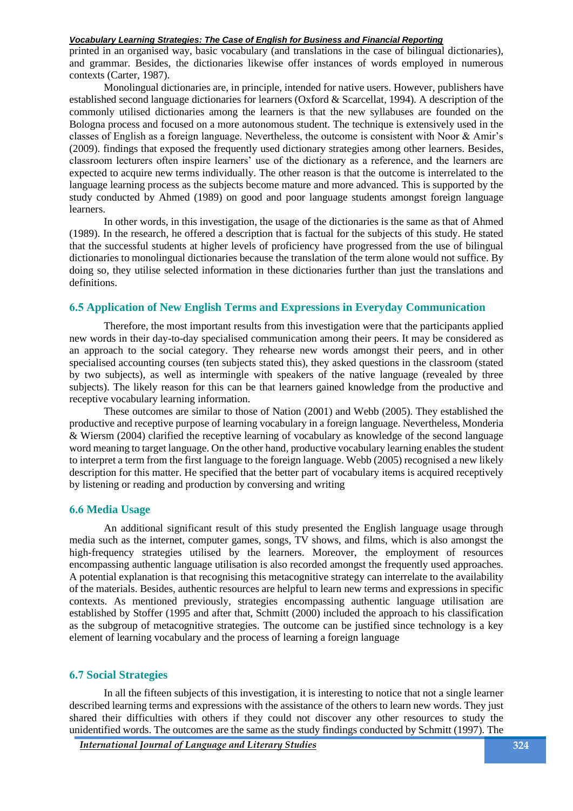printed in an organised way, basic vocabulary (and translations in the case of bilingual dictionaries), and grammar. Besides, the dictionaries likewise offer instances of words employed in numerous contexts (Carter, 1987).

Monolingual dictionaries are, in principle, intended for native users. However, publishers have established second language dictionaries for learners (Oxford & Scarcellat, 1994). A description of the commonly utilised dictionaries among the learners is that the new syllabuses are founded on the Bologna process and focused on a more autonomous student. The technique is extensively used in the classes of English as a foreign language. Nevertheless, the outcome is consistent with Noor & Amir's (2009). findings that exposed the frequently used dictionary strategies among other learners. Besides, classroom lecturers often inspire learners' use of the dictionary as a reference, and the learners are expected to acquire new terms individually. The other reason is that the outcome is interrelated to the language learning process as the subjects become mature and more advanced. This is supported by the study conducted by Ahmed (1989) on good and poor language students amongst foreign language learners.

In other words, in this investigation, the usage of the dictionaries is the same as that of Ahmed (1989). In the research, he offered a description that is factual for the subjects of this study. He stated that the successful students at higher levels of proficiency have progressed from the use of bilingual dictionaries to monolingual dictionaries because the translation of the term alone would not suffice. By doing so, they utilise selected information in these dictionaries further than just the translations and definitions.

## **6.5 Application of New English Terms and Expressions in Everyday Communication**

Therefore, the most important results from this investigation were that the participants applied new words in their day-to-day specialised communication among their peers. It may be considered as an approach to the social category. They rehearse new words amongst their peers, and in other specialised accounting courses (ten subjects stated this), they asked questions in the classroom (stated by two subjects), as well as intermingle with speakers of the native language (revealed by three subjects). The likely reason for this can be that learners gained knowledge from the productive and receptive vocabulary learning information.

These outcomes are similar to those of Nation (2001) and Webb (2005). They established the productive and receptive purpose of learning vocabulary in a foreign language. Nevertheless, Monderia & Wiersm (2004) clarified the receptive learning of vocabulary as knowledge of the second language word meaning to target language. On the other hand, productive vocabulary learning enables the student to interpret a term from the first language to the foreign language. Webb (2005) recognised a new likely description for this matter. He specified that the better part of vocabulary items is acquired receptively by listening or reading and production by conversing and writing

#### **6.6 Media Usage**

An additional significant result of this study presented the English language usage through media such as the internet, computer games, songs, TV shows, and films, which is also amongst the high-frequency strategies utilised by the learners. Moreover, the employment of resources encompassing authentic language utilisation is also recorded amongst the frequently used approaches. A potential explanation is that recognising this metacognitive strategy can interrelate to the availability of the materials. Besides, authentic resources are helpful to learn new terms and expressions in specific contexts. As mentioned previously, strategies encompassing authentic language utilisation are established by Stoffer (1995 and after that, Schmitt (2000) included the approach to his classification as the subgroup of metacognitive strategies. The outcome can be justified since technology is a key element of learning vocabulary and the process of learning a foreign language

#### **6.7 Social Strategies**

In all the fifteen subjects of this investigation, it is interesting to notice that not a single learner described learning terms and expressions with the assistance of the others to learn new words. They just shared their difficulties with others if they could not discover any other resources to study the unidentified words. The outcomes are the same as the study findings conducted by Schmitt (1997). The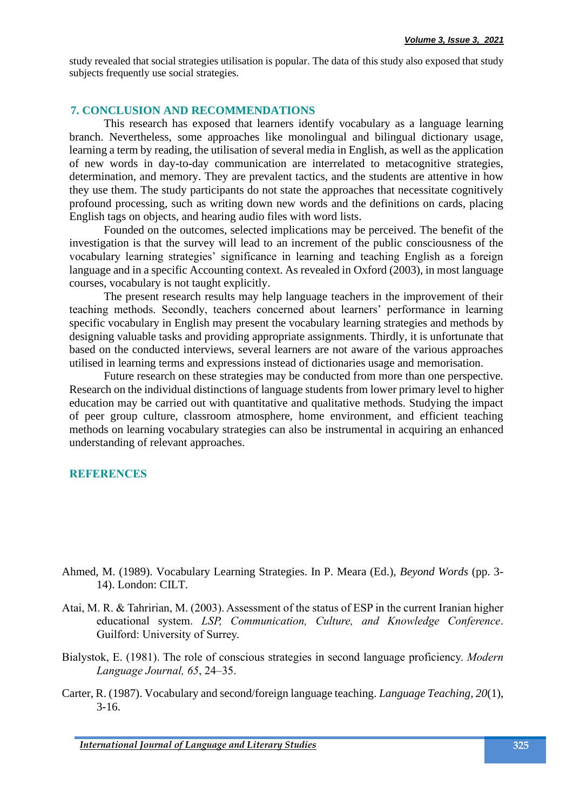study revealed that social strategies utilisation is popular. The data of this study also exposed that study subjects frequently use social strategies.

## **7. CONCLUSION AND RECOMMENDATIONS**

This research has exposed that learners identify vocabulary as a language learning branch. Nevertheless, some approaches like monolingual and bilingual dictionary usage, learning a term by reading, the utilisation of several media in English, as well as the application of new words in day-to-day communication are interrelated to metacognitive strategies, determination, and memory. They are prevalent tactics, and the students are attentive in how they use them. The study participants do not state the approaches that necessitate cognitively profound processing, such as writing down new words and the definitions on cards, placing English tags on objects, and hearing audio files with word lists.

Founded on the outcomes, selected implications may be perceived. The benefit of the investigation is that the survey will lead to an increment of the public consciousness of the vocabulary learning strategies' significance in learning and teaching English as a foreign language and in a specific Accounting context. As revealed in Oxford (2003), in most language courses, vocabulary is not taught explicitly.

The present research results may help language teachers in the improvement of their teaching methods. Secondly, teachers concerned about learners' performance in learning specific vocabulary in English may present the vocabulary learning strategies and methods by designing valuable tasks and providing appropriate assignments. Thirdly, it is unfortunate that based on the conducted interviews, several learners are not aware of the various approaches utilised in learning terms and expressions instead of dictionaries usage and memorisation.

Future research on these strategies may be conducted from more than one perspective. Research on the individual distinctions of language students from lower primary level to higher education may be carried out with quantitative and qualitative methods. Studying the impact of peer group culture, classroom atmosphere, home environment, and efficient teaching methods on learning vocabulary strategies can also be instrumental in acquiring an enhanced understanding of relevant approaches.

#### **REFERENCES**

- Ahmed, M. (1989). Vocabulary Learning Strategies. In P. Meara (Ed.), *Beyond Words* (pp. 3- 14). London: CILT.
- Atai, M. R. & Tahririan, M. (2003). Assessment of the status of ESP in the current Iranian higher educational system. *LSP, Communication, Culture, and Knowledge Conference*. Guilford: University of Surrey.
- Bialystok, E. (1981). The role of conscious strategies in second language proficiency. *Modern Language Journal, 65*, 24–35.
- Carter, R. (1987). Vocabulary and second/foreign language teaching. *Language Teaching, 20*(1), 3-16.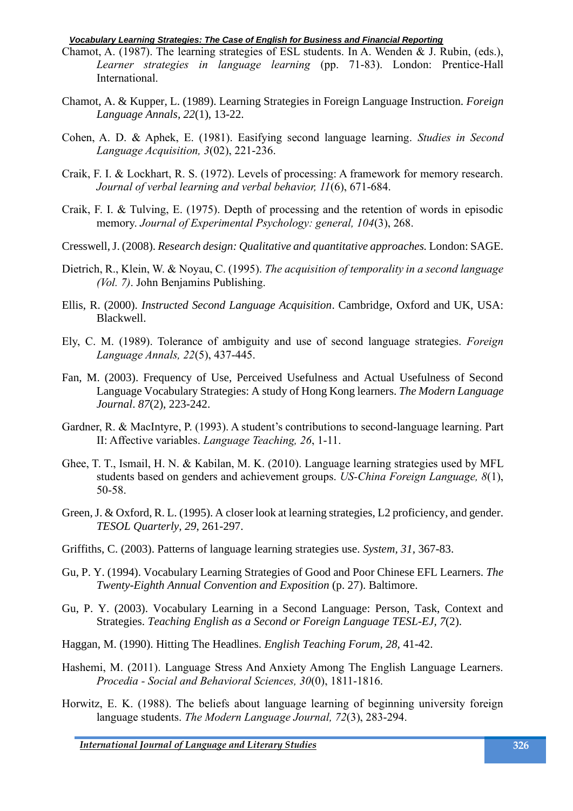- Chamot, A. (1987). The learning strategies of ESL students. In A. Wenden & J. Rubin, (eds.), *Learner strategies in language learning* (pp. 71-83). London: Prentice-Hall International.
- Chamot, A. & Kupper, L. (1989). Learning Strategies in Foreign Language Instruction. *Foreign Language Annals, 22*(1), 13-22.
- Cohen, A. D. & Aphek, E. (1981). Easifying second language learning. *Studies in Second Language Acquisition, 3*(02), 221-236.
- Craik, F. I. & Lockhart, R. S. (1972). Levels of processing: A framework for memory research. *Journal of verbal learning and verbal behavior, 11*(6), 671-684.
- Craik, F. I. & Tulving, E. (1975). Depth of processing and the retention of words in episodic memory. *Journal of Experimental Psychology: general, 104*(3), 268.
- Cresswell, J. (2008). *Research design: Qualitative and quantitative approaches.* London: SAGE.
- Dietrich, R., Klein, W. & Noyau, C. (1995). *The acquisition of temporality in a second language (Vol. 7)*. John Benjamins Publishing.
- Ellis, R. (2000). *Instructed Second Language Acquisition*. Cambridge, Oxford and UK, USA: Blackwell.
- Ely, C. M. (1989). Tolerance of ambiguity and use of second language strategies. *Foreign Language Annals, 22*(5), 437-445.
- Fan, M. (2003). Frequency of Use, Perceived Usefulness and Actual Usefulness of Second Language Vocabulary Strategies: A study of Hong Kong learners. *The Modern Language Journal*. *87*(2), 223-242.
- Gardner, R. & MacIntyre, P. (1993). A student's contributions to second-language learning. Part II: Affective variables. *Language Teaching, 26*, 1-11.
- Ghee, T. T., Ismail, H. N. & Kabilan, M. K. (2010). Language learning strategies used by MFL students based on genders and achievement groups. *US-China Foreign Language, 8*(1), 50-58.
- Green, J. & Oxford, R. L. (1995). A closer look at learning strategies, L2 proficiency, and gender. *TESOL Quarterly, 29*, 261-297.
- Griffiths, C. (2003). Patterns of language learning strategies use. *System, 31,* 367-83.
- Gu, P. Y. (1994). Vocabulary Learning Strategies of Good and Poor Chinese EFL Learners. *The Twenty-Eighth Annual Convention and Exposition* (p. 27). Baltimore.
- Gu, P. Y. (2003). Vocabulary Learning in a Second Language: Person, Task, Context and Strategies. *Teaching English as a Second or Foreign Language TESL-EJ, 7*(2).
- Haggan, M. (1990). Hitting The Headlines. *English Teaching Forum, 28,* 41-42.
- Hashemi, M. (2011). Language Stress And Anxiety Among The English Language Learners. *Procedia - Social and Behavioral Sciences, 30*(0), 1811-1816.
- Horwitz, E. K. (1988). The beliefs about language learning of beginning university foreign language students. *The Modern Language Journal, 72*(3), 283-294.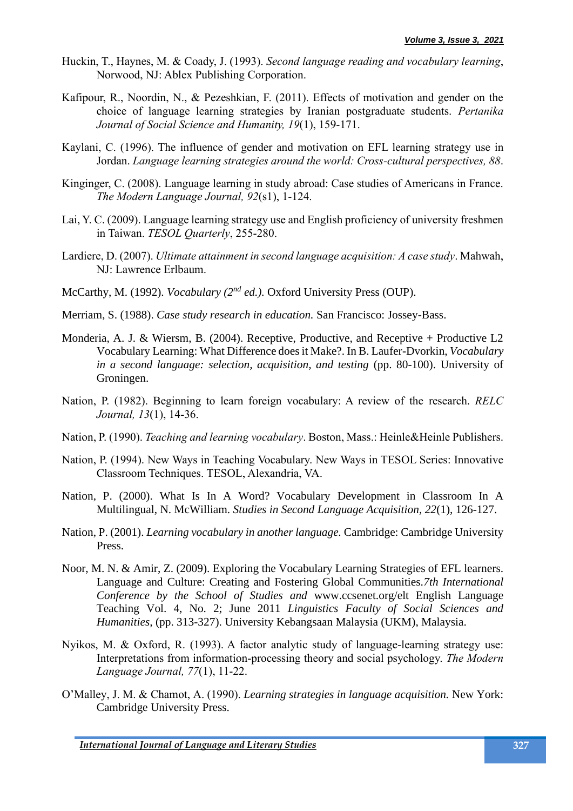- Huckin, T., Haynes, M. & Coady, J. (1993). *Second language reading and vocabulary learning*, Norwood, NJ: Ablex Publishing Corporation.
- Kafipour, R., Noordin, N., & Pezeshkian, F. (2011). Effects of motivation and gender on the choice of language learning strategies by Iranian postgraduate students. *Pertanika Journal of Social Science and Humanity, 19*(1), 159-171.
- Kaylani, C. (1996). The influence of gender and motivation on EFL learning strategy use in Jordan. *Language learning strategies around the world: Cross-cultural perspectives, 88*.
- Kinginger, C. (2008). Language learning in study abroad: Case studies of Americans in France. *The Modern Language Journal, 92*(s1), 1-124.
- Lai, Y. C. (2009). Language learning strategy use and English proficiency of university freshmen in Taiwan. *TESOL Quarterly*, 255-280.
- Lardiere, D. (2007). *Ultimate attainment in second language acquisition: A case study*. Mahwah, NJ: Lawrence Erlbaum.
- McCarthy, M. (1992). *Vocabulary (2nd ed.).* Oxford University Press (OUP).
- Merriam, S. (1988). *Case study research in education.* San Francisco: Jossey-Bass.
- Monderia, A. J. & Wiersm, B. (2004). Receptive, Productive, and Receptive + Productive L2 Vocabulary Learning: What Difference does it Make?. In B. Laufer-Dvorkin, *Vocabulary in a second language: selection, acquisition, and testing (pp. 80-100). University of* Groningen.
- Nation, P. (1982). Beginning to learn foreign vocabulary: A review of the research. *RELC Journal, 13*(1), 14-36.
- Nation, P. (1990). *Teaching and learning vocabulary*. Boston, Mass.: Heinle&Heinle Publishers.
- Nation, P. (1994). New Ways in Teaching Vocabulary. New Ways in TESOL Series: Innovative Classroom Techniques. TESOL, Alexandria, VA.
- Nation, P. (2000). What Is In A Word? Vocabulary Development in Classroom In A Multilingual, N. McWilliam. *Studies in Second Language Acquisition, 22*(1), 126-127.
- Nation, P. (2001). *Learning vocabulary in another language.* Cambridge: Cambridge University Press.
- Noor, M. N. & Amir, Z. (2009). Exploring the Vocabulary Learning Strategies of EFL learners. Language and Culture: Creating and Fostering Global Communities.*7th International Conference by the School of Studies and* www.ccsenet.org/elt English Language Teaching Vol. 4, No. 2; June 2011 *Linguistics Faculty of Social Sciences and Humanities,* (pp. 313-327). University Kebangsaan Malaysia (UKM), Malaysia.
- Nyikos, M. & Oxford, R. (1993). A factor analytic study of language-learning strategy use: Interpretations from information‐processing theory and social psychology. *The Modern Language Journal, 77*(1), 11-22.
- O'Malley, J. M. & Chamot, A. (1990). *Learning strategies in language acquisition.* New York: Cambridge University Press.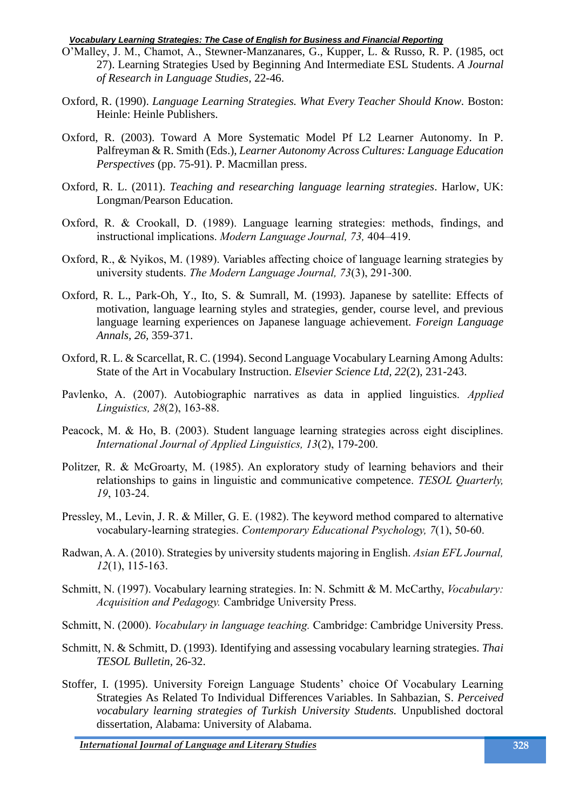- O'Malley, J. M., Chamot, A., Stewner-Manzanares, G., Kupper, L. & Russo, R. P. (1985, oct 27). Learning Strategies Used by Beginning And Intermediate ESL Students. *A Journal of Research in Language Studies,* 22-46.
- Oxford, R. (1990). *Language Learning Strategies. What Every Teacher Should Know. Boston:* Heinle: Heinle Publishers.
- Oxford, R. (2003). Toward A More Systematic Model Pf L2 Learner Autonomy. In P. Palfreyman & R. Smith (Eds.), *Learner Autonomy Across Cultures: Language Education Perspectives* (pp. 75-91). P. Macmillan press.
- Oxford, R. L. (2011). *Teaching and researching language learning strategies*. Harlow, UK: Longman/Pearson Education.
- Oxford, R. & Crookall, D. (1989). Language learning strategies: methods, findings, and instructional implications. *Modern Language Journal, 73,* 404–419.
- Oxford, R., & Nyikos, M. (1989). Variables affecting choice of language learning strategies by university students. *The Modern Language Journal, 73*(3), 291-300.
- Oxford, R. L., Park-Oh, Y., Ito, S. & Sumrall, M. (1993). Japanese by satellite: Effects of motivation, language learning styles and strategies, gender, course level, and previous language learning experiences on Japanese language achievement. *Foreign Language Annals, 26,* 359-371.
- Oxford, R. L. & Scarcellat, R. C. (1994). Second Language Vocabulary Learning Among Adults: State of the Art in Vocabulary Instruction. *Elsevier Science Ltd, 22*(2), 231-243.
- Pavlenko, A. (2007). Autobiographic narratives as data in applied linguistics. *Applied Linguistics, 28*(2), 163-88.
- Peacock, M. & Ho, B. (2003). Student language learning strategies across eight disciplines. *International Journal of Applied Linguistics, 13*(2), 179-200.
- Politzer, R. & McGroarty, M. (1985). An exploratory study of learning behaviors and their relationships to gains in linguistic and communicative competence. *TESOL Quarterly, 19*, 103-24.
- Pressley, M., Levin, J. R. & Miller, G. E. (1982). The keyword method compared to alternative vocabulary-learning strategies. *Contemporary Educational Psychology, 7*(1), 50-60.
- Radwan, A. A. (2010). Strategies by university students majoring in English. *Asian EFL Journal, 12*(1), 115-163.
- Schmitt, N. (1997). Vocabulary learning strategies. In: N. Schmitt & M. McCarthy, *Vocabulary: Acquisition and Pedagogy.* Cambridge University Press.
- Schmitt, N. (2000). *Vocabulary in language teaching.* Cambridge: Cambridge University Press.
- Schmitt, N. & Schmitt, D. (1993). Identifying and assessing vocabulary learning strategies. *Thai TESOL Bulletin,* 26-32.
- Stoffer, I. (1995). University Foreign Language Students' choice Of Vocabulary Learning Strategies As Related To Individual Differences Variables. In Sahbazian, S. *Perceived vocabulary learning strategies of Turkish University Students.* Unpublished doctoral dissertation, Alabama: University of Alabama.